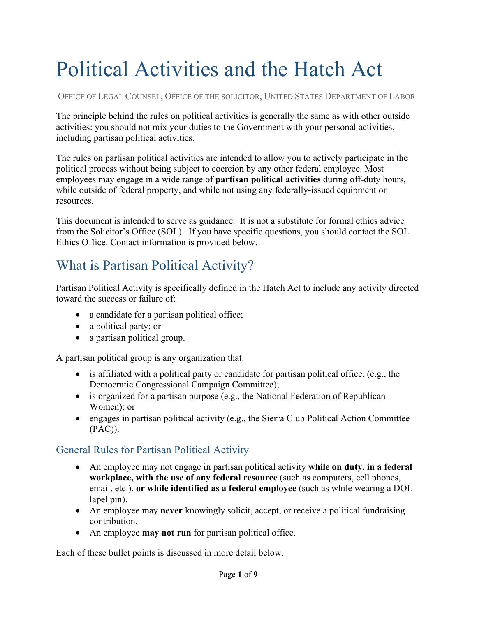# Political Activities and the Hatch Act

OFFICE OF LEGAL COUNSEL, OFFICE OF THE SOLICITOR, UNITED STATES DEPARTMENT OF LABOR

The principle behind the rules on political activities is generally the same as with other outside activities: you should not mix your duties to the Government with your personal activities, including partisan political activities.

The rules on partisan political activities are intended to allow you to actively participate in the political process without being subject to coercion by any other federal employee. Most employees may engage in a wide range of **partisan political activities** during off-duty hours, while outside of federal property, and while not using any federally-issued equipment or resources.

This document is intended to serve as guidance. It is not a substitute for formal ethics advice from the Solicitor's Office (SOL). If you have specific questions, you should contact the SOL Ethics Office. Contact information is provided below.

# What is Partisan Political Activity?

Partisan Political Activity is specifically defined in the Hatch Act to include any activity directed toward the success or failure of:

- a candidate for a partisan political office;
- a political party; or
- a partisan political group.

A partisan political group is any organization that:

- is affiliated with a political party or candidate for partisan political office, (e.g., the Democratic Congressional Campaign Committee);
- is organized for a partisan purpose (e.g., the National Federation of Republican Women); or
- engages in partisan political activity (e.g., the Sierra Club Political Action Committee (PAC)).

### General Rules for Partisan Political Activity

- An employee may not engage in partisan political activity **while on duty, in a federal workplace, with the use of any federal resource** (such as computers, cell phones, email, etc.), **or while identified as a federal employee** (such as while wearing a DOL lapel pin).
- An employee may **never** knowingly solicit, accept, or receive a political fundraising contribution.
- An employee **may not run** for partisan political office.

Each of these bullet points is discussed in more detail below.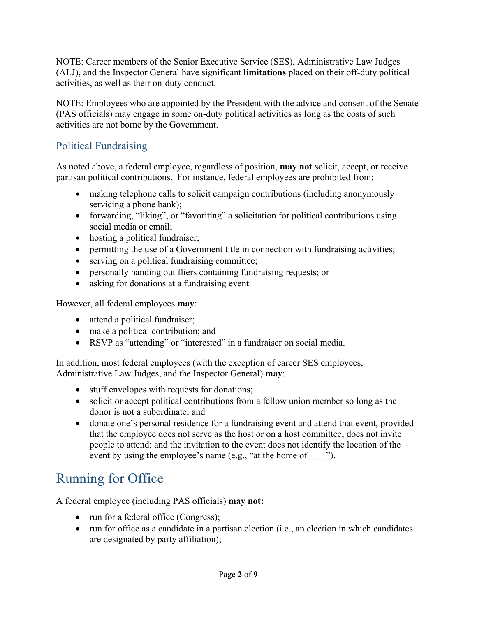NOTE: Career members of the Senior Executive Service (SES), Administrative Law Judges (ALJ), and the Inspector General have significant **limitations** placed on their off-duty political activities, as well as their on-duty conduct.

NOTE: Employees who are appointed by the President with the advice and consent of the Senate (PAS officials) may engage in some on-duty political activities as long as the costs of such activities are not borne by the Government.

### Political Fundraising

As noted above, a federal employee, regardless of position, **may not** solicit, accept, or receive partisan political contributions. For instance, federal employees are prohibited from:

- making telephone calls to solicit campaign contributions (including anonymously servicing a phone bank);
- forwarding, "liking", or "favoriting" a solicitation for political contributions using social media or email;
- hosting a political fundraiser;
- permitting the use of a Government title in connection with fundraising activities;
- serving on a political fundraising committee;
- personally handing out fliers containing fundraising requests; or
- asking for donations at a fundraising event.

However, all federal employees **may**:

- attend a political fundraiser;
- make a political contribution; and
- RSVP as "attending" or "interested" in a fundraiser on social media.

In addition, most federal employees (with the exception of career SES employees, Administrative Law Judges, and the Inspector General) **may**:

- stuff envelopes with requests for donations;
- solicit or accept political contributions from a fellow union member so long as the donor is not a subordinate; and
- donate one's personal residence for a fundraising event and attend that event, provided that the employee does not serve as the host or on a host committee; does not invite people to attend; and the invitation to the event does not identify the location of the event by using the employee's name (e.g., "at the home of  $\qquad$  ").

# Running for Office

A federal employee (including PAS officials) **may not:**

- run for a federal office (Congress);
- run for office as a candidate in a partisan election (i.e., an election in which candidates are designated by party affiliation);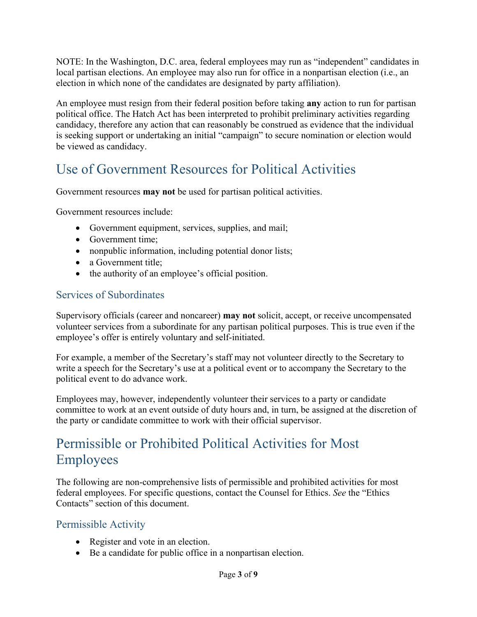NOTE: In the Washington, D.C. area, federal employees may run as "independent" candidates in local partisan elections. An employee may also run for office in a nonpartisan election (i.e., an election in which none of the candidates are designated by party affiliation).

An employee must resign from their federal position before taking **any** action to run for partisan political office. The Hatch Act has been interpreted to prohibit preliminary activities regarding candidacy, therefore any action that can reasonably be construed as evidence that the individual is seeking support or undertaking an initial "campaign" to secure nomination or election would be viewed as candidacy.

# Use of Government Resources for Political Activities

Government resources **may not** be used for partisan political activities.

Government resources include:

- Government equipment, services, supplies, and mail;
- Government time;
- nonpublic information, including potential donor lists;
- a Government title:
- the authority of an employee's official position.

### Services of Subordinates

Supervisory officials (career and noncareer) **may not** solicit, accept, or receive uncompensated volunteer services from a subordinate for any partisan political purposes. This is true even if the employee's offer is entirely voluntary and self-initiated.

For example, a member of the Secretary's staff may not volunteer directly to the Secretary to write a speech for the Secretary's use at a political event or to accompany the Secretary to the political event to do advance work.

Employees may, however, independently volunteer their services to a party or candidate committee to work at an event outside of duty hours and, in turn, be assigned at the discretion of the party or candidate committee to work with their official supervisor.

# Permissible or Prohibited Political Activities for Most Employees

The following are non-comprehensive lists of permissible and prohibited activities for most federal employees. For specific questions, contact the Counsel for Ethics. *See* the "Ethics Contacts" section of this document.

#### Permissible Activity

- Register and vote in an election.
- Be a candidate for public office in a nonpartisan election.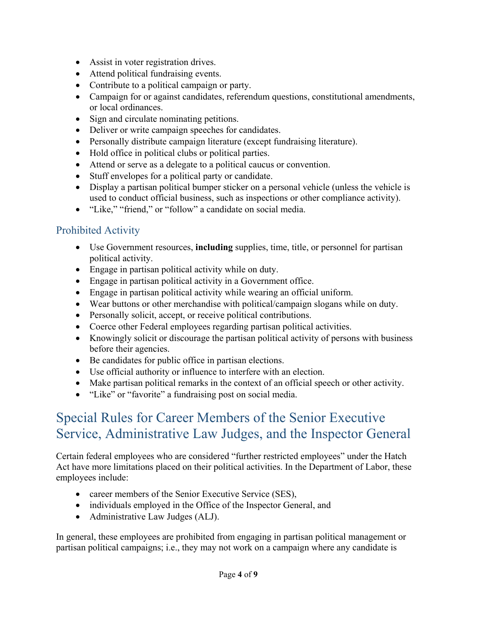- Assist in voter registration drives.
- Attend political fundraising events.
- Contribute to a political campaign or party.
- Campaign for or against candidates, referendum questions, constitutional amendments, or local ordinances.
- Sign and circulate nominating petitions.
- Deliver or write campaign speeches for candidates.
- Personally distribute campaign literature (except fundraising literature).
- Hold office in political clubs or political parties.
- Attend or serve as a delegate to a political caucus or convention.
- Stuff envelopes for a political party or candidate.
- Display a partisan political bumper sticker on a personal vehicle (unless the vehicle is used to conduct official business, such as inspections or other compliance activity).
- "Like," "friend," or "follow" a candidate on social media.

### Prohibited Activity

- Use Government resources, **including** supplies, time, title, or personnel for partisan political activity.
- Engage in partisan political activity while on duty.
- Engage in partisan political activity in a Government office.
- Engage in partisan political activity while wearing an official uniform.
- Wear buttons or other merchandise with political/campaign slogans while on duty.
- Personally solicit, accept, or receive political contributions.
- Coerce other Federal employees regarding partisan political activities.
- Knowingly solicit or discourage the partisan political activity of persons with business before their agencies.
- Be candidates for public office in partisan elections.
- Use official authority or influence to interfere with an election.
- Make partisan political remarks in the context of an official speech or other activity.
- "Like" or "favorite" a fundraising post on social media.

## Special Rules for Career Members of the Senior Executive Service, Administrative Law Judges, and the Inspector General

Certain federal employees who are considered "further restricted employees" under the Hatch Act have more limitations placed on their political activities. In the Department of Labor, these employees include:

- career members of the Senior Executive Service (SES),
- individuals employed in the Office of the Inspector General, and
- Administrative Law Judges (ALJ).

In general, these employees are prohibited from engaging in partisan political management or partisan political campaigns; i.e., they may not work on a campaign where any candidate is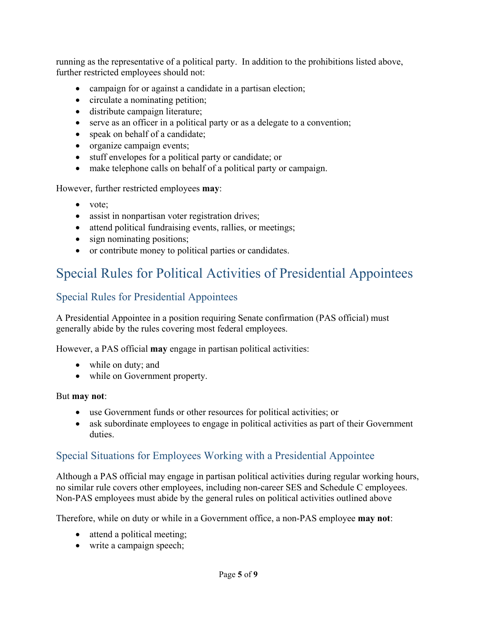running as the representative of a political party. In addition to the prohibitions listed above, further restricted employees should not:

- campaign for or against a candidate in a partisan election;
- circulate a nominating petition;
- distribute campaign literature;
- serve as an officer in a political party or as a delegate to a convention;
- speak on behalf of a candidate;
- organize campaign events;
- stuff envelopes for a political party or candidate; or
- make telephone calls on behalf of a political party or campaign.

However, further restricted employees **may**:

- vote;
- assist in nonpartisan voter registration drives;
- attend political fundraising events, rallies, or meetings;
- sign nominating positions;
- or contribute money to political parties or candidates.

# Special Rules for Political Activities of Presidential Appointees

### Special Rules for Presidential Appointees

A Presidential Appointee in a position requiring Senate confirmation (PAS official) must generally abide by the rules covering most federal employees.

However, a PAS official **may** engage in partisan political activities:

- while on duty; and
- while on Government property.

#### But **may not**:

- use Government funds or other resources for political activities; or
- ask subordinate employees to engage in political activities as part of their Government duties.

### Special Situations for Employees Working with a Presidential Appointee

Although a PAS official may engage in partisan political activities during regular working hours, no similar rule covers other employees, including non-career SES and Schedule C employees. Non-PAS employees must abide by the general rules on political activities outlined above

Therefore, while on duty or while in a Government office, a non-PAS employee **may not**:

- attend a political meeting;
- write a campaign speech;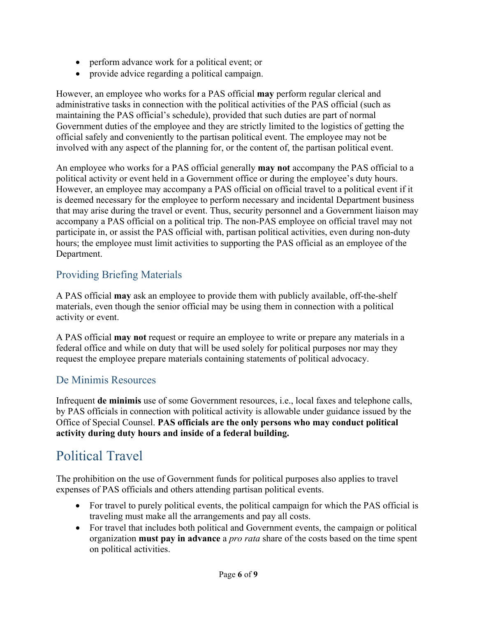- perform advance work for a political event; or
- provide advice regarding a political campaign.

However, an employee who works for a PAS official **may** perform regular clerical and administrative tasks in connection with the political activities of the PAS official (such as maintaining the PAS official's schedule), provided that such duties are part of normal Government duties of the employee and they are strictly limited to the logistics of getting the official safely and conveniently to the partisan political event. The employee may not be involved with any aspect of the planning for, or the content of, the partisan political event.

An employee who works for a PAS official generally **may not** accompany the PAS official to a political activity or event held in a Government office or during the employee's duty hours. However, an employee may accompany a PAS official on official travel to a political event if it is deemed necessary for the employee to perform necessary and incidental Department business that may arise during the travel or event. Thus, security personnel and a Government liaison may accompany a PAS official on a political trip. The non-PAS employee on official travel may not participate in, or assist the PAS official with, partisan political activities, even during non-duty hours; the employee must limit activities to supporting the PAS official as an employee of the Department.

### Providing Briefing Materials

A PAS official **may** ask an employee to provide them with publicly available, off-the-shelf materials, even though the senior official may be using them in connection with a political activity or event.

A PAS official **may not** request or require an employee to write or prepare any materials in a federal office and while on duty that will be used solely for political purposes nor may they request the employee prepare materials containing statements of political advocacy.

### De Minimis Resources

Infrequent **de minimis** use of some Government resources, i.e., local faxes and telephone calls, by PAS officials in connection with political activity is allowable under guidance issued by the Office of Special Counsel. **PAS officials are the only persons who may conduct political activity during duty hours and inside of a federal building.**

# Political Travel

The prohibition on the use of Government funds for political purposes also applies to travel expenses of PAS officials and others attending partisan political events.

- For travel to purely political events, the political campaign for which the PAS official is traveling must make all the arrangements and pay all costs.
- For travel that includes both political and Government events, the campaign or political organization **must pay in advance** a *pro rata* share of the costs based on the time spent on political activities.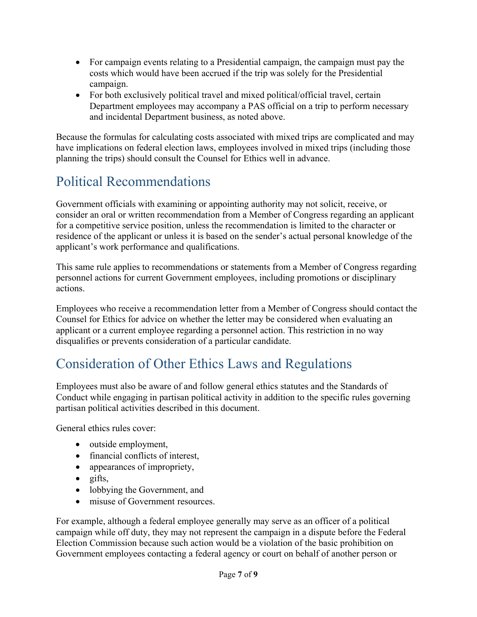- For campaign events relating to a Presidential campaign, the campaign must pay the costs which would have been accrued if the trip was solely for the Presidential campaign.
- For both exclusively political travel and mixed political/official travel, certain Department employees may accompany a PAS official on a trip to perform necessary and incidental Department business, as noted above.

Because the formulas for calculating costs associated with mixed trips are complicated and may have implications on federal election laws, employees involved in mixed trips (including those planning the trips) should consult the Counsel for Ethics well in advance.

# Political Recommendations

Government officials with examining or appointing authority may not solicit, receive, or consider an oral or written recommendation from a Member of Congress regarding an applicant for a competitive service position, unless the recommendation is limited to the character or residence of the applicant or unless it is based on the sender's actual personal knowledge of the applicant's work performance and qualifications.

This same rule applies to recommendations or statements from a Member of Congress regarding personnel actions for current Government employees, including promotions or disciplinary actions.

Employees who receive a recommendation letter from a Member of Congress should contact the Counsel for Ethics for advice on whether the letter may be considered when evaluating an applicant or a current employee regarding a personnel action. This restriction in no way disqualifies or prevents consideration of a particular candidate.

# Consideration of Other Ethics Laws and Regulations

Employees must also be aware of and follow general ethics statutes and the Standards of Conduct while engaging in partisan political activity in addition to the specific rules governing partisan political activities described in this document.

General ethics rules cover:

- outside employment,
- financial conflicts of interest,
- appearances of impropriety,
- $\bullet$  gifts,
- lobbying the Government, and
- misuse of Government resources.

For example, although a federal employee generally may serve as an officer of a political campaign while off duty, they may not represent the campaign in a dispute before the Federal Election Commission because such action would be a violation of the basic prohibition on Government employees contacting a federal agency or court on behalf of another person or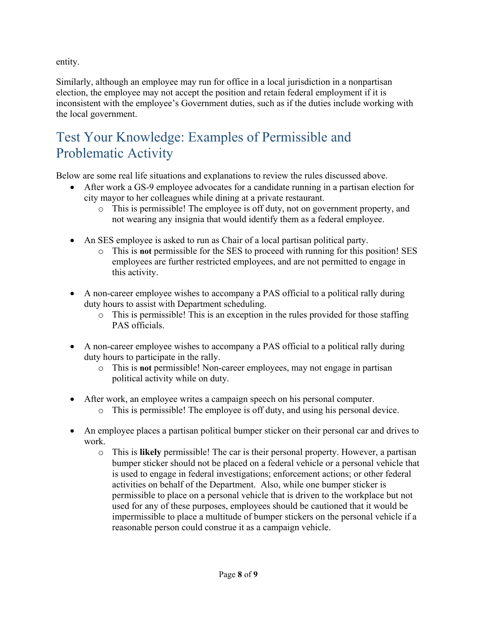entity.

Similarly, although an employee may run for office in a local jurisdiction in a nonpartisan election, the employee may not accept the position and retain federal employment if it is inconsistent with the employee's Government duties, such as if the duties include working with the local government.

# Test Your Knowledge: Examples of Permissible and Problematic Activity

Below are some real life situations and explanations to review the rules discussed above.

- After work a GS-9 employee advocates for a candidate running in a partisan election for city mayor to her colleagues while dining at a private restaurant.
	- o This is permissible! The employee is off duty, not on government property, and not wearing any insignia that would identify them as a federal employee.
- An SES employee is asked to run as Chair of a local partisan political party.
	- o This is **not** permissible for the SES to proceed with running for this position! SES employees are further restricted employees, and are not permitted to engage in this activity.
- A non-career employee wishes to accompany a PAS official to a political rally during duty hours to assist with Department scheduling.
	- o This is permissible! This is an exception in the rules provided for those staffing PAS officials.
- A non-career employee wishes to accompany a PAS official to a political rally during duty hours to participate in the rally.
	- o This is **not** permissible! Non-career employees, may not engage in partisan political activity while on duty.
- After work, an employee writes a campaign speech on his personal computer.
	- o This is permissible! The employee is off duty, and using his personal device.
- An employee places a partisan political bumper sticker on their personal car and drives to work.
	- o This is **likely** permissible! The car is their personal property. However, a partisan bumper sticker should not be placed on a federal vehicle or a personal vehicle that is used to engage in federal investigations; enforcement actions; or other federal activities on behalf of the Department. Also, while one bumper sticker is permissible to place on a personal vehicle that is driven to the workplace but not used for any of these purposes, employees should be cautioned that it would be impermissible to place a multitude of bumper stickers on the personal vehicle if a reasonable person could construe it as a campaign vehicle.